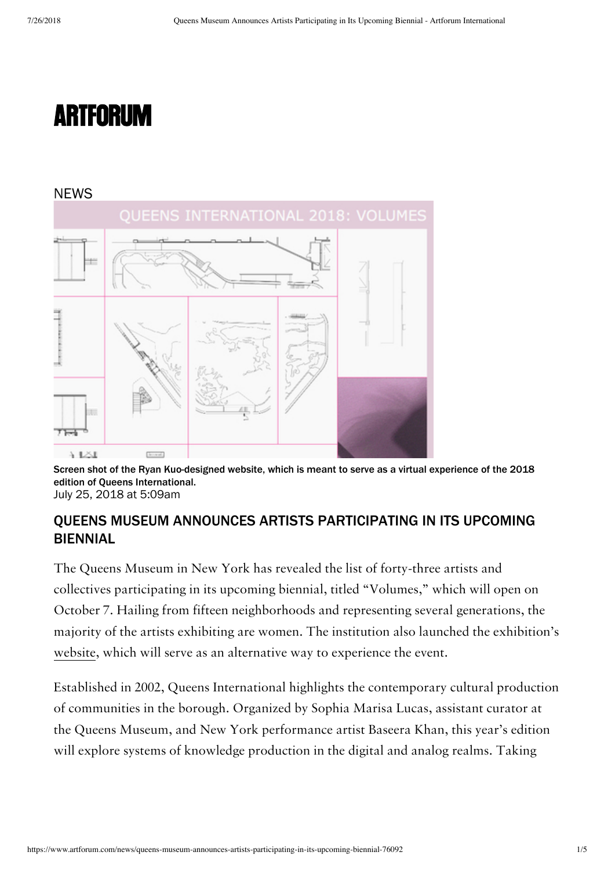## **ARTFORUM**

## **NEWS**



Screen shot of the Ryan Kuo-designed website, which is meant to serve as a virtual experience of the 2018 edition of Queens International. July 25, 2018 at 5:09am

## QUEENS MUSEUM ANNOUNCES ARTISTS PARTICIPATING IN ITS UPCOMING **BIENNIAL**

The Queens Museum in New York has revealed the list of forty-three artists and collectives participating in its upcoming biennial, titled "Volumes," which will open on October 7. Hailing from fifteen neighborhoods and representing several generations, the majority of the artists exhibiting are women. The institution also launched the exhibition's website, which will serve as an alternative way to experience the event.

Established in 2002, Queens International highlights the contemporary cultural production of communities in the borough. Organized by Sophia Marisa Lucas, assistant curator at the Queens Museum, and New York performance artist Baseera Khan, this year's edition will explore systems of knowledge production in the digital and analog realms. Taking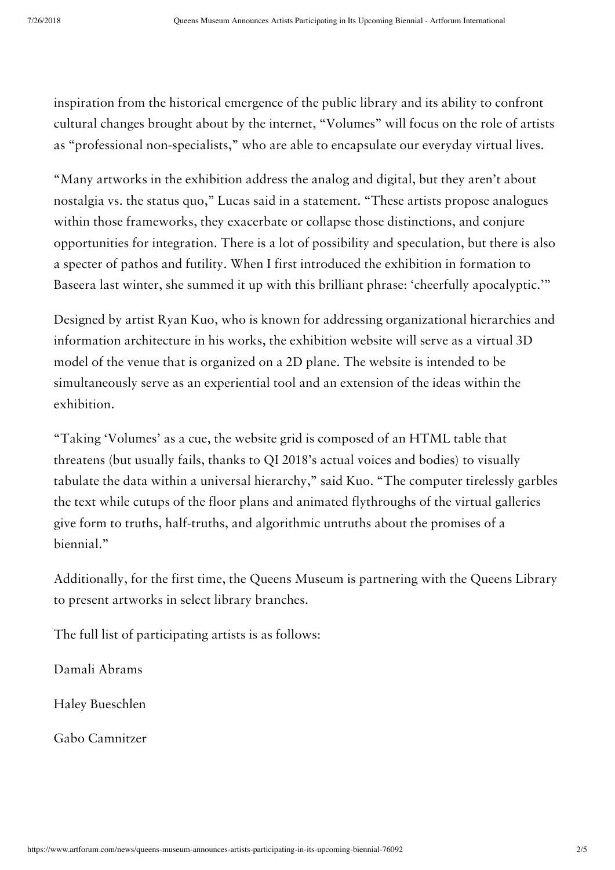inspiration from the historical emergence of the public library and its ability to confront cultural changes brought about by the internet, "Volumes" will focus on the role of artists as "professional non-specialists," who are able to encapsulate our everyday virtual lives.

"Many artworks in the exhibition address the analog and digital, but they aren't about nostalgia vs. the status quo," Lucas said in a statement. "These artists propose analogues within those frameworks, they exacerbate or collapse those distinctions, and conjure opportunities for integration. There is a lot of possibility and speculation, but there is also a specter of pathos and futility. When I first introduced the exhibition in formation to Baseera last winter, she summed it up with this brilliant phrase: 'cheerfully apocalyptic.'"

Designed by artist Ryan Kuo, who is known for addressing organizational hierarchies and information architecture in his works, the exhibition website will serve as a virtual 3D model of the venue that is organized on a 2D plane. The website is intended to be simultaneously serve as an experiential tool and an extension of the ideas within the exhibition.

"Taking 'Volumes' as a cue, the website grid is composed of an HTML table that threatens (but usually fails, thanks to QI 2018's actual voices and bodies) to visually tabulate the data within a universal hierarchy," said Kuo. "The computer tirelessly garbles the text while cutups of the floor plans and animated flythroughs of the virtual galleries give form to truths, half-truths, and algorithmic untruths about the promises of a biennial."

Additionally, for the first time, the Queens Museum is partnering with the Queens Library to present artworks in select library branches.

The full list of participating artists is as follows:

Damali Abrams

Haley Bueschlen

Gabo Camnitzer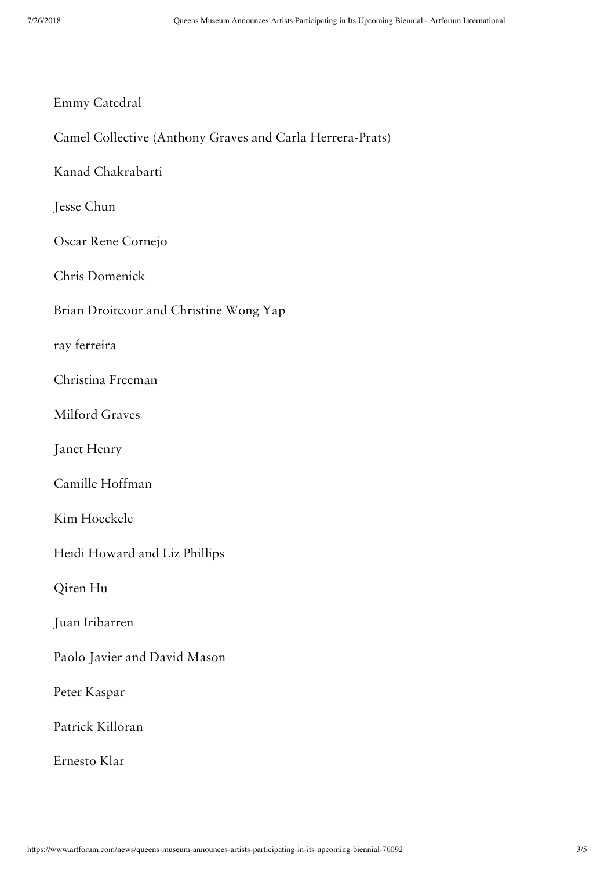| Emmy Catedral |  |
|---------------|--|
|---------------|--|

Camel Collective (Anthony Graves and Carla Herrera-Prats)

Kanad Chakrabarti

Jesse Chun

Oscar Rene Cornejo

Chris Domenick

Brian Droitcour and Christine Wong Yap

ray ferreira

Christina Freeman

Milford Graves

Janet Henry

Camille Hoffman

Kim Hoeckele

Heidi Howard and Liz Phillips

Qiren Hu

Juan Iribarren

Paolo Javier and David Mason

Peter Kaspar

Patrick Killoran

Ernesto Klar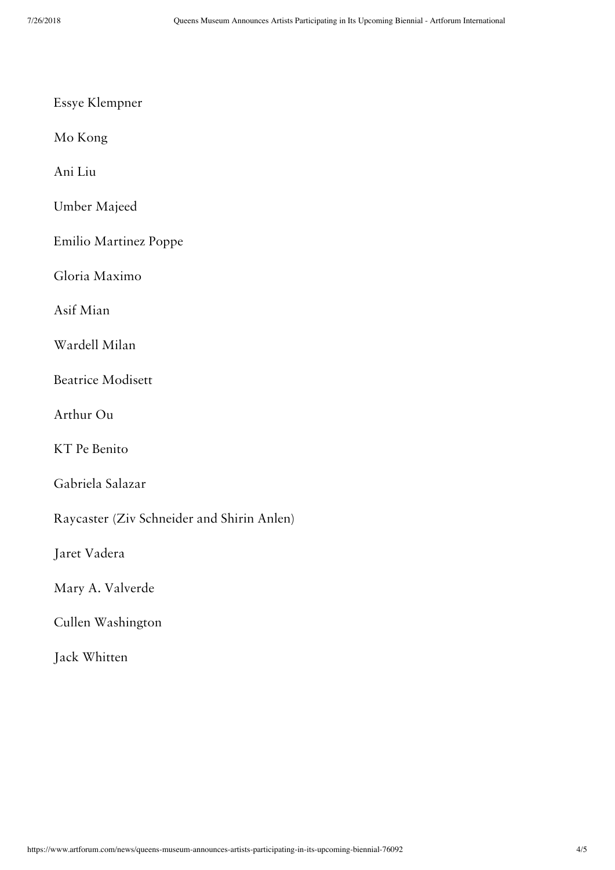| <b>Essye Klempner</b> |  |  |  |
|-----------------------|--|--|--|
|-----------------------|--|--|--|

Mo Kong

Ani Liu

Umber Majeed

Emilio Martinez Poppe

Gloria Maximo

Asif Mian

Wardell Milan

Beatrice Modisett

Arthur Ou

KT Pe Benito

Gabriela Salazar

Raycaster (Ziv Schneider and Shirin Anlen)

Jaret Vadera

Mary A. Valverde

Cullen Washington

Jack Whitten